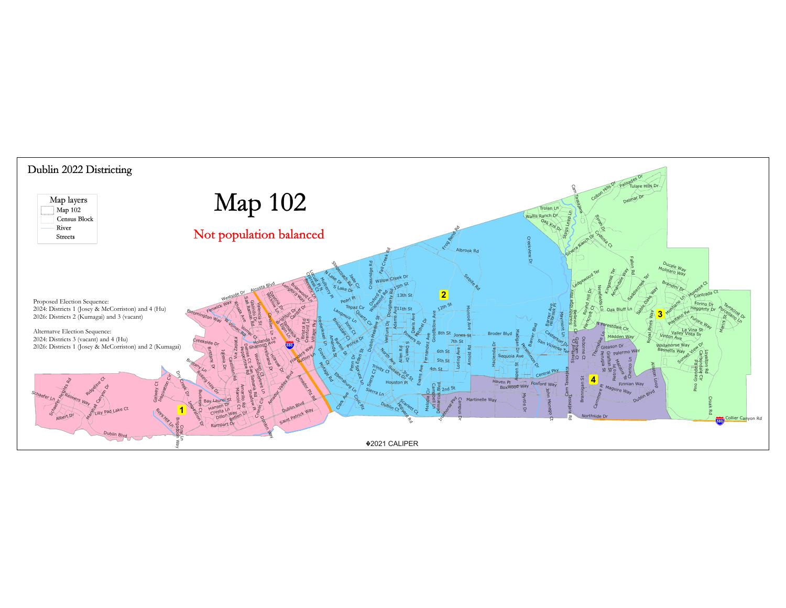